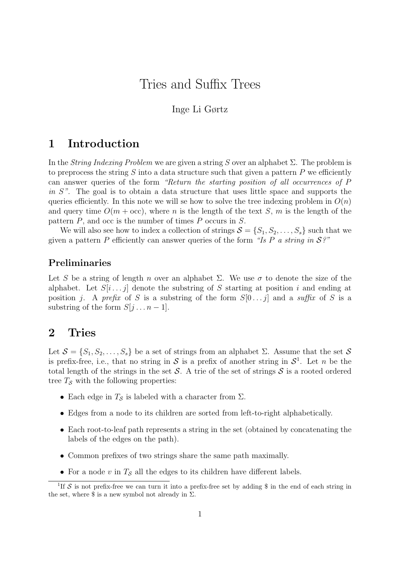# Tries and Suffix Trees

### Inge Li Gørtz

## 1 Introduction

In the *String Indexing Problem* we are given a string S over an alphabet  $\Sigma$ . The problem is to preprocess the string  $S$  into a data structure such that given a pattern  $P$  we efficiently can answer queries of the form "Return the starting position of all occurrences of P in S". The goal is to obtain a data structure that uses little space and supports the queries efficiently. In this note we will se how to solve the tree indexing problem in  $O(n)$ and query time  $O(m + \text{occ})$ , where n is the length of the text S, m is the length of the pattern P, and occ is the number of times P occurs in S.

We will also see how to index a collection of strings  $S = \{S_1, S_2, \ldots, S_s\}$  such that we given a pattern P efficiently can answer queries of the form "Is P a string in  $\mathcal{S}$ ?"

### Preliminaries

Let S be a string of length n over an alphabet  $\Sigma$ . We use  $\sigma$  to denote the size of the alphabet. Let  $S[i \dots j]$  denote the substring of S starting at position i and ending at position j. A prefix of S is a substring of the form  $S[0 \dots j]$  and a suffix of S is a substring of the form  $S[j \dots n-1]$ .

### 2 Tries

Let  $S = \{S_1, S_2, \ldots, S_s\}$  be a set of strings from an alphabet Σ. Assume that the set S is prefix-free, i.e., that no string in S is a prefix of another string in  $S^1$ . Let n be the total length of the strings in the set  $S$ . A trie of the set of strings  $S$  is a rooted ordered tree  $T<sub>S</sub>$  with the following properties:

- Each edge in  $T_{\mathcal{S}}$  is labeled with a character from  $\Sigma$ .
- Edges from a node to its children are sorted from left-to-right alphabetically.
- Each root-to-leaf path represents a string in the set (obtained by concatenating the labels of the edges on the path).
- Common prefixes of two strings share the same path maximally.
- For a node v in  $T_{\mathcal{S}}$  all the edges to its children have different labels.

<sup>&</sup>lt;sup>1</sup>If S is not prefix-free we can turn it into a prefix-free set by adding \$ in the end of each string in the set, where  $\$ is a new symbol not already in  $\Sigma$ .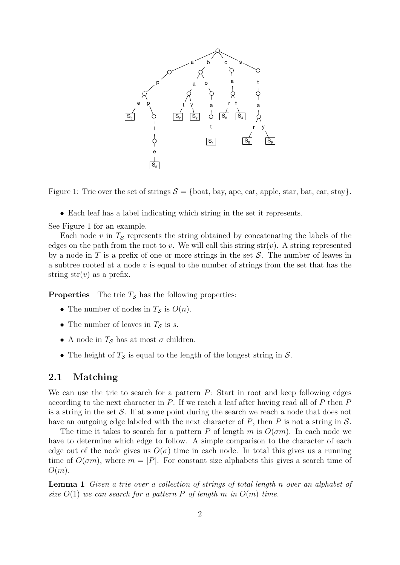

Figure 1: Trie over the set of strings  $S = \{\text{boat}, \text{bay}, \text{ape}, \text{cat}, \text{apple}, \text{star}, \text{bat}, \text{car}, \text{stay}\}.$ 

• Each leaf has a label indicating which string in the set it represents.

See Figure 1 for an example.

Each node v in  $T<sub>S</sub>$  represents the string obtained by concatenating the labels of the edges on the path from the root to v. We will call this string str(v). A string represented by a node in T is a prefix of one or more strings in the set  $\mathcal S$ . The number of leaves in a subtree rooted at a node  $v$  is equal to the number of strings from the set that has the string  $str(v)$  as a prefix.

**Properties** The trie  $T<sub>S</sub>$  has the following properties:

- The number of nodes in  $T_S$  is  $O(n)$ .
- The number of leaves in  $T_S$  is s.
- A node in  $T<sub>S</sub>$  has at most  $\sigma$  children.
- The height of  $T_{\mathcal{S}}$  is equal to the length of the longest string in  $\mathcal{S}$ .

#### 2.1 Matching

We can use the trie to search for a pattern P: Start in root and keep following edges according to the next character in  $P$ . If we reach a leaf after having read all of  $P$  then  $P$ is a string in the set  $\mathcal{S}$ . If at some point during the search we reach a node that does not have an outgoing edge labeled with the next character of  $P$ , then  $P$  is not a string in  $S$ .

The time it takes to search for a pattern P of length m is  $O(\sigma m)$ . In each node we have to determine which edge to follow. A simple comparison to the character of each edge out of the node gives us  $O(\sigma)$  time in each node. In total this gives us a running time of  $O(\sigma m)$ , where  $m = |P|$ . For constant size alphabets this gives a search time of  $O(m)$ .

Lemma 1 Given a trie over a collection of strings of total length n over an alphabet of size  $O(1)$  we can search for a pattern P of length m in  $O(m)$  time.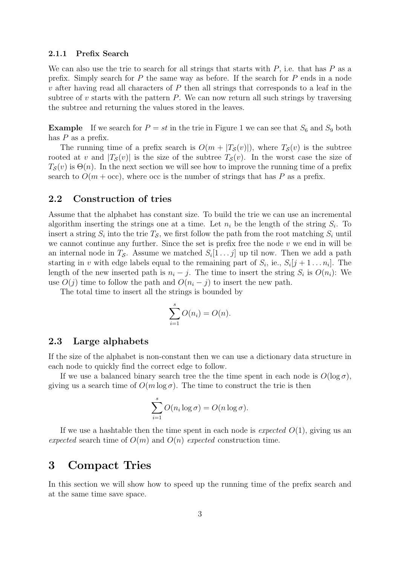#### 2.1.1 Prefix Search

We can also use the trie to search for all strings that starts with  $P$ , i.e. that has  $P$  as a prefix. Simply search for  $P$  the same way as before. If the search for  $P$  ends in a node  $v$  after having read all characters of  $P$  then all strings that corresponds to a leaf in the subtree of  $v$  starts with the pattern  $P$ . We can now return all such strings by traversing the subtree and returning the values stored in the leaves.

**Example** If we search for  $P = st$  in the trie in Figure 1 we can see that  $S_6$  and  $S_9$  both has  $P$  as a prefix.

The running time of a prefix search is  $O(m + |T_{\mathcal{S}}(v)|)$ , where  $T_{\mathcal{S}}(v)$  is the subtree rooted at v and  $|T_{\mathcal{S}}(v)|$  is the size of the subtree  $T_{\mathcal{S}}(v)$ . In the worst case the size of  $T<sub>S</sub>(v)$  is  $\Theta(n)$ . In the next section we will see how to improve the running time of a prefix search to  $O(m + \text{occ})$ , where occ is the number of strings that has P as a prefix.

#### 2.2 Construction of tries

Assume that the alphabet has constant size. To build the trie we can use an incremental algorithm inserting the strings one at a time. Let  $n_i$  be the length of the string  $S_i$ . To insert a string  $S_i$  into the trie  $T_s$ , we first follow the path from the root matching  $S_i$  until we cannot continue any further. Since the set is prefix free the node  $v$  we end in will be an internal node in  $T_{\mathcal{S}}$ . Assume we matched  $S_i[1 \dots j]$  up til now. Then we add a path starting in v with edge labels equal to the remaining part of  $S_i$ , ie.,  $S_i[j+1 \ldots n_i]$ . The length of the new inserted path is  $n_i - j$ . The time to insert the string  $S_i$  is  $O(n_i)$ : We use  $O(j)$  time to follow the path and  $O(n_i - j)$  to insert the new path.

The total time to insert all the strings is bounded by

$$
\sum_{i=1}^{s} O(n_i) = O(n).
$$

#### 2.3 Large alphabets

If the size of the alphabet is non-constant then we can use a dictionary data structure in each node to quickly find the correct edge to follow.

If we use a balanced binary search tree the the time spent in each node is  $O(\log \sigma)$ , giving us a search time of  $O(m \log \sigma)$ . The time to construct the trie is then

$$
\sum_{i=1}^{s} O(n_i \log \sigma) = O(n \log \sigma).
$$

If we use a hashtable then the time spent in each node is *expected*  $O(1)$ , giving us an expected search time of  $O(m)$  and  $O(n)$  expected construction time.

#### 3 Compact Tries

In this section we will show how to speed up the running time of the prefix search and at the same time save space.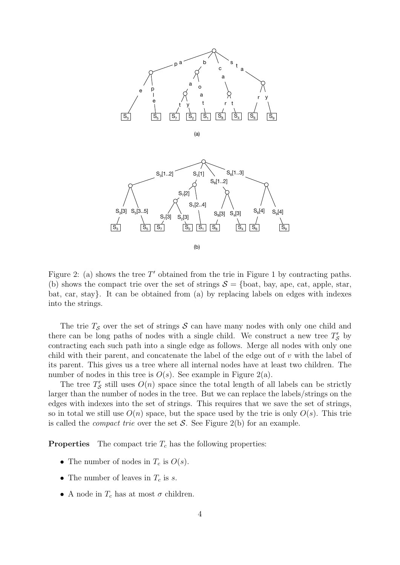



Figure 2: (a) shows the tree  $T'$  obtained from the trie in Figure 1 by contracting paths. (b) shows the compact trie over the set of strings  $S = \{\text{boat}, \text{bay}, \text{ape}, \text{cat}, \text{apple}, \text{star}, \text{...}\}$ bat, car, stay}. It can be obtained from (a) by replacing labels on edges with indexes into the strings.

The trie  $T<sub>S</sub>$  over the set of strings S can have many nodes with only one child and there can be long paths of nodes with a single child. We construct a new tree  $T'_{\mathcal{S}}$  by contracting each such path into a single edge as follows. Merge all nodes with only one child with their parent, and concatenate the label of the edge out of v with the label of its parent. This gives us a tree where all internal nodes have at least two children. The number of nodes in this tree is  $O(s)$ . See example in Figure 2(a).

The tree  $T'_{\mathcal{S}}$  still uses  $O(n)$  space since the total length of all labels can be strictly larger than the number of nodes in the tree. But we can replace the labels/strings on the edges with indexes into the set of strings. This requires that we save the set of strings, so in total we still use  $O(n)$  space, but the space used by the trie is only  $O(s)$ . This trie is called the *compact trie* over the set S. See Figure 2(b) for an example.

**Properties** The compact trie  $T_c$  has the following properties:

- The number of nodes in  $T_c$  is  $O(s)$ .
- The number of leaves in  $T_c$  is s.
- A node in  $T_c$  has at most  $\sigma$  children.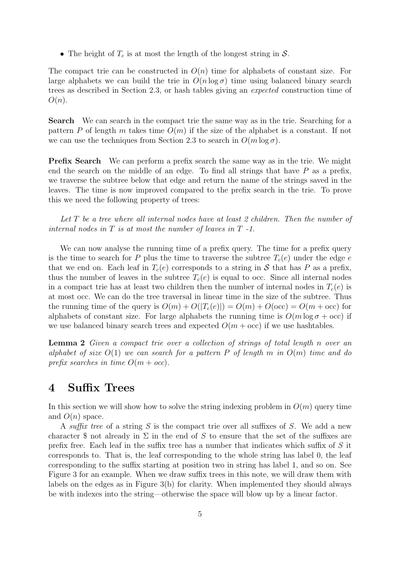• The height of  $T_c$  is at most the length of the longest string in S.

The compact trie can be constructed in  $O(n)$  time for alphabets of constant size. For large alphabets we can build the trie in  $O(n \log \sigma)$  time using balanced binary search trees as described in Section 2.3, or hash tables giving an expected construction time of  $O(n).$ 

Search We can search in the compact trie the same way as in the trie. Searching for a pattern P of length m takes time  $O(m)$  if the size of the alphabet is a constant. If not we can use the techniques from Section 2.3 to search in  $O(m \log \sigma)$ .

**Prefix Search** We can perform a prefix search the same way as in the trie. We might end the search on the middle of an edge. To find all strings that have  $P$  as a prefix, we traverse the subtree below that edge and return the name of the strings saved in the leaves. The time is now improved compared to the prefix search in the trie. To prove this we need the following property of trees:

Let T be a tree where all internal nodes have at least 2 children. Then the number of internal nodes in  $T$  is at most the number of leaves in  $T$  -1.

We can now analyse the running time of a prefix query. The time for a prefix query is the time to search for P plus the time to traverse the subtree  $T_c(e)$  under the edge e that we end on. Each leaf in  $T_c(e)$  corresponds to a string in S that has P as a prefix, thus the number of leaves in the subtree  $T_c(e)$  is equal to occ. Since all internal nodes in a compact trie has at least two children then the number of internal nodes in  $T_c(e)$  is at most occ. We can do the tree traversal in linear time in the size of the subtree. Thus the running time of the query is  $O(m) + O(|T_c(e)|) = O(m) + O(\text{occ}) = O(m + \text{occ})$  for alphabets of constant size. For large alphabets the running time is  $O(m \log \sigma + \text{occ})$  if we use balanced binary search trees and expected  $O(m + \text{occ})$  if we use hashtables.

Lemma 2 Given a compact trie over a collection of strings of total length n over an alphabet of size  $O(1)$  we can search for a pattern P of length m in  $O(m)$  time and do prefix searches in time  $O(m + occ)$ .

### 4 Suffix Trees

In this section we will show how to solve the string indexing problem in  $O(m)$  query time and  $O(n)$  space.

A suffix tree of a string S is the compact trie over all suffixes of S. We add a new character \$ not already in  $\Sigma$  in the end of S to ensure that the set of the suffixes are prefix free. Each leaf in the suffix tree has a number that indicates which suffix of S it corresponds to. That is, the leaf corresponding to the whole string has label 0, the leaf corresponding to the suffix starting at position two in string has label 1, and so on. See Figure 3 for an example. When we draw suffix trees in this note, we will draw them with labels on the edges as in Figure 3(b) for clarity. When implemented they should always be with indexes into the string—otherwise the space will blow up by a linear factor.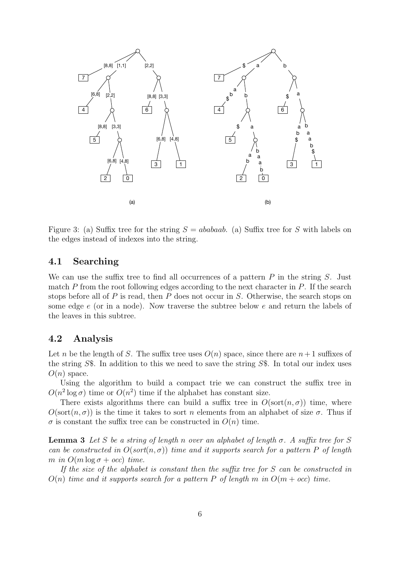

Figure 3: (a) Suffix tree for the string  $S = ababaab$ . (a) Suffix tree for S with labels on the edges instead of indexes into the string.

#### 4.1 Searching

We can use the suffix tree to find all occurrences of a pattern  $P$  in the string  $S$ . Just match  $P$  from the root following edges according to the next character in  $P$ . If the search stops before all of  $P$  is read, then  $P$  does not occur in  $S$ . Otherwise, the search stops on some edge e (or in a node). Now traverse the subtree below e and return the labels of the leaves in this subtree.

#### 4.2 Analysis

Let n be the length of S. The suffix tree uses  $O(n)$  space, since there are  $n+1$  suffixes of the string S\$. In addition to this we need to save the string S\$. In total our index uses  $O(n)$  space.

Using the algorithm to build a compact trie we can construct the suffix tree in  $O(n^2 \log \sigma)$  time or  $O(n^2)$  time if the alphabet has constant size.

There exists algorithms there can build a suffix tree in  $O(\text{sort}(n, \sigma))$  time, where  $O(\text{sort}(n, \sigma))$  is the time it takes to sort n elements from an alphabet of size  $\sigma$ . Thus if  $\sigma$  is constant the suffix tree can be constructed in  $O(n)$  time.

**Lemma 3** Let S be a string of length n over an alphabet of length  $\sigma$ . A suffix tree for S can be constructed in  $O(\text{sort}(n, \sigma))$  time and it supports search for a pattern P of length m in  $O(m \log \sigma + occ)$  time.

If the size of the alphabet is constant then the suffix tree for S can be constructed in  $O(n)$  time and it supports search for a pattern P of length m in  $O(m + occ)$  time.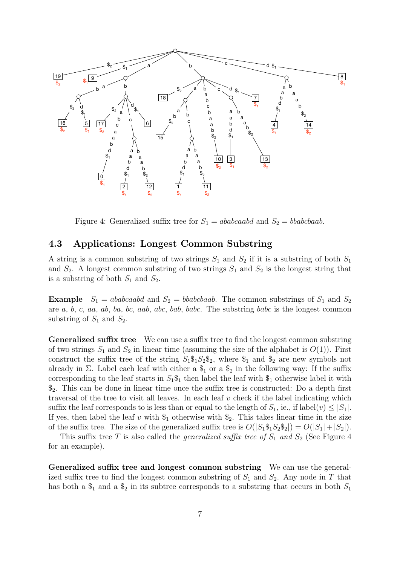

Figure 4: Generalized suffix tree for  $S_1 = ababcaab$  and  $S_2 = bbabcbaab$ .

#### 4.3 Applications: Longest Common Substring

A string is a common substring of two strings  $S_1$  and  $S_2$  if it is a substring of both  $S_1$ and  $S_2$ . A longest common substring of two strings  $S_1$  and  $S_2$  is the longest string that is a substring of both  $S_1$  and  $S_2$ .

**Example**  $S_1 = ababcaab$  and  $S_2 = bbabcbaab$ . The common substrings of  $S_1$  and  $S_2$ are a, b, c, aa, ab, ba, bc, aab, abc, bab, babc. The substring babc is the longest common substring of  $S_1$  and  $S_2$ .

Generalized suffix tree We can use a suffix tree to find the longest common substring of two strings  $S_1$  and  $S_2$  in linear time (assuming the size of the alphabet is  $O(1)$ ). First construct the suffix tree of the string  $S_1\$_1S_2\$_2$ , where  $\$_1$  and  $\$_2$  are new symbols not already in  $\Sigma$ . Label each leaf with either a  $\$_{1}$  or a  $\$_{2}$  in the following way: If the suffix corresponding to the leaf starts in  $S_1\$ <sub>1</sub> then label the leaf with  $\frac{1}{2}$  otherwise label it with  $\mathcal{S}_2$ . This can be done in linear time once the suffix tree is constructed: Do a depth first traversal of the tree to visit all leaves. In each leaf  $v$  check if the label indicating which suffix the leaf corresponds to is less than or equal to the length of  $S_1$ , ie., if label $(v) \leq |S_1|$ . If yes, then label the leaf v with  $\$_1$  otherwise with  $\$_2$ . This takes linear time in the size of the suffix tree. The size of the generalized suffix tree is  $O(|S_1\$_1S_2\$_2|)=O(|S_1|+|S_2|)$ .

This suffix tree T is also called the *generalized suffix tree of*  $S_1$  and  $S_2$  (See Figure 4 for an example).

Generalized suffix tree and longest common substring We can use the generalized suffix tree to find the longest common substring of  $S_1$  and  $S_2$ . Any node in T that has both a  $\$_{1}$  and a  $\$_{2}$  in its subtree corresponds to a substring that occurs in both  $S_1$